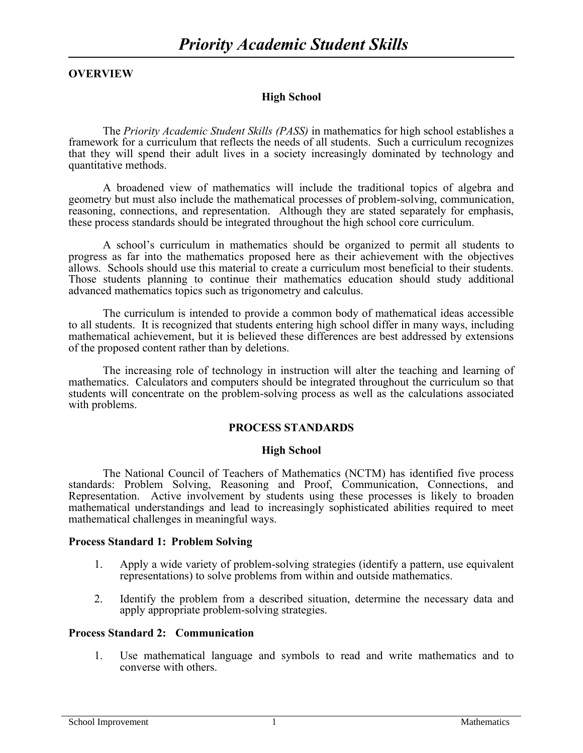# **OVERVIEW**

# **High School**

The *Priority Academic Student Skills (PASS)* in mathematics for high school establishes a framework for a curriculum that reflects the needs of all students. Such a curriculum recognizes that they will spend their adult lives in a society increasingly dominated by technology and quantitative methods.

A broadened view of mathematics will include the traditional topics of algebra and geometry but must also include the mathematical processes of problem-solving, communication, reasoning, connections, and representation. Although they are stated separately for emphasis, these process standards should be integrated throughout the high school core curriculum.

A school's curriculum in mathematics should be organized to permit all students to progress as far into the mathematics proposed here as their achievement with the objectives allows. Schools should use this material to create a curriculum most beneficial to their students. Those students planning to continue their mathematics education should study additional advanced mathematics topics such as trigonometry and calculus.

The curriculum is intended to provide a common body of mathematical ideas accessible to all students. It is recognized that students entering high school differ in many ways, including mathematical achievement, but it is believed these differences are best addressed by extensions of the proposed content rather than by deletions.

The increasing role of technology in instruction will alter the teaching and learning of mathematics. Calculators and computers should be integrated throughout the curriculum so that students will concentrate on the problem-solving process as well as the calculations associated with problems.

# **PROCESS STANDARDS**

#### **High School**

The National Council of Teachers of Mathematics (NCTM) has identified five process standards: Problem Solving, Reasoning and Proof, Communication, Connections, and Representation. Active involvement by students using these processes is likely to broaden mathematical understandings and lead to increasingly sophisticated abilities required to meet mathematical challenges in meaningful ways.

#### **Process Standard 1: Problem Solving**

- 1. Apply a wide variety of problem-solving strategies (identify a pattern, use equivalent representations) to solve problems from within and outside mathematics.
- 2. Identify the problem from a described situation, determine the necessary data and apply appropriate problem-solving strategies.

# **Process Standard 2: Communication**

1. Use mathematical language and symbols to read and write mathematics and to converse with others.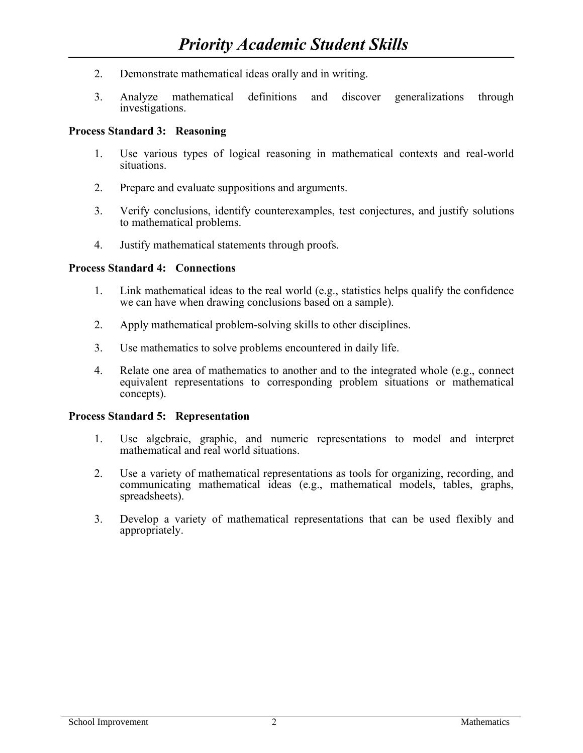- 2. Demonstrate mathematical ideas orally and in writing.
- 3. Analyze mathematical definitions and discover generalizations through investigations.

# **Process Standard 3: Reasoning**

- 1. Use various types of logical reasoning in mathematical contexts and real-world situations.
- 2. Prepare and evaluate suppositions and arguments.
- 3. Verify conclusions, identify counterexamples, test conjectures, and justify solutions to mathematical problems.
- 4. Justify mathematical statements through proofs.

### **Process Standard 4: Connections**

- 1. Link mathematical ideas to the real world (e.g., statistics helps qualify the confidence we can have when drawing conclusions based on a sample).
- 2. Apply mathematical problem-solving skills to other disciplines.
- 3. Use mathematics to solve problems encountered in daily life.
- 4. Relate one area of mathematics to another and to the integrated whole (e.g., connect equivalent representations to corresponding problem situations or mathematical concepts).

#### **Process Standard 5: Representation**

- 1. Use algebraic, graphic, and numeric representations to model and interpret mathematical and real world situations.
- 2. Use a variety of mathematical representations as tools for organizing, recording, and communicating mathematical ideas (e.g., mathematical models, tables, graphs, spreadsheets).
- 3. Develop a variety of mathematical representations that can be used flexibly and appropriately.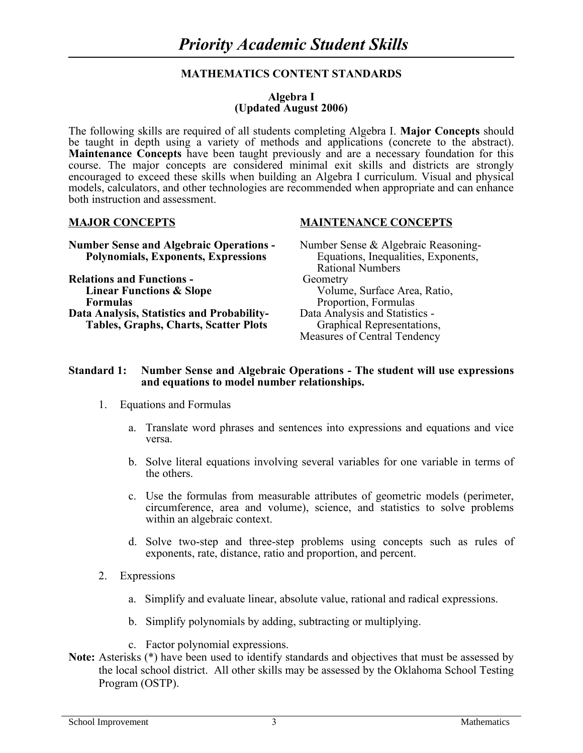# **MATHEMATICS CONTENT STANDARDS**

#### **Algebra I (Updated August 2006)**

The following skills are required of all students completing Algebra I. **Major Concepts** should be taught in depth using a variety of methods and applications (concrete to the abstract). **Maintenance Concepts** have been taught previously and are a necessary foundation for this course. The major concepts are considered minimal exit skills and districts are strongly encouraged to exceed these skills when building an Algebra I curriculum. Visual and physical models, calculators, and other technologies are recommended when appropriate and can enhance both instruction and assessment.

# **Number Sense and Algebraic Operations -** Number Sense & Algebraic Reasoning-**Polynomials, Exponents, Expressions** Equations, Inequalities, Exponents,

**Relations and Functions -** Geometry **Linear Functions & Slope** Volume, Surface Area, Ratio, **Formulas** Proportion, Formulas **Data Analysis, Statistics and Probability-** Data Analysis and Statistics - **Tables, Graphs, Charts, Scatter Plots** Graphical Representations,

### **MAJOR CONCEPTS MAINTENANCE CONCEPTS**

Rational Numbers Measures of Central Tendency

#### **Standard 1: Number Sense and Algebraic Operations - The student will use expressions and equations to model number relationships.**

- 1. Equations and Formulas
	- a. Translate word phrases and sentences into expressions and equations and vice versa.
	- b. Solve literal equations involving several variables for one variable in terms of the others.
	- c. Use the formulas from measurable attributes of geometric models (perimeter, circumference, area and volume), science, and statistics to solve problems within an algebraic context.
	- d. Solve two-step and three-step problems using concepts such as rules of exponents, rate, distance, ratio and proportion, and percent.
- 2. Expressions
	- a. Simplify and evaluate linear, absolute value, rational and radical expressions.
	- b. Simplify polynomials by adding, subtracting or multiplying.
	- c. Factor polynomial expressions.
- **Note:** Asterisks (\*) have been used to identify standards and objectives that must be assessed by the local school district. All other skills may be assessed by the Oklahoma School Testing Program (OSTP).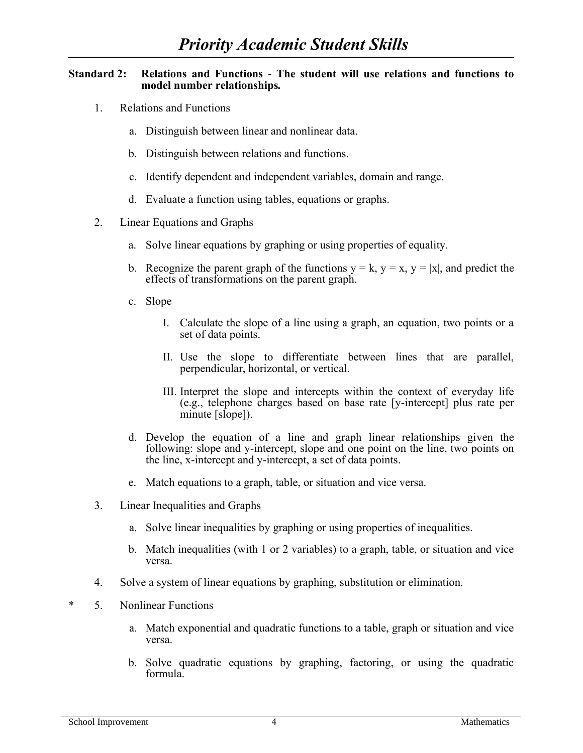### **Standard 2: Relations and Functions** - **The student will use relations and functions to model number relationships***.*

- 1. Relations and Functions
	- a. Distinguish between linear and nonlinear data.
	- b. Distinguish between relations and functions.
	- c. Identify dependent and independent variables, domain and range.
	- d. Evaluate a function using tables, equations or graphs.
- 2. Linear Equations and Graphs
	- a. Solve linear equations by graphing or using properties of equality.
	- b. Recognize the parent graph of the functions  $y = k$ ,  $y = x$ ,  $y = |x|$ , and predict the effects of transformations on the parent graph.
	- c. Slope
		- I. Calculate the slope of a line using a graph, an equation, two points or a set of data points.
		- II. Use the slope to differentiate between lines that are parallel, perpendicular, horizontal, or vertical.
		- III. Interpret the slope and intercepts within the context of everyday life (e.g., telephone charges based on base rate [y-intercept] plus rate per minute [slope]).
	- d. Develop the equation of a line and graph linear relationships given the following: slope and y-intercept, slope and one point on the line, two points on the line, x-intercept and y-intercept, a set of data points.
	- e. Match equations to a graph, table, or situation and vice versa.
- 3. Linear Inequalities and Graphs
	- a. Solve linear inequalities by graphing or using properties of inequalities.
	- b. Match inequalities (with 1 or 2 variables) to a graph, table, or situation and vice versa.
- 4. Solve a system of linear equations by graphing, substitution or elimination.
- \* 5. Nonlinear Functions
	- a. Match exponential and quadratic functions to a table, graph or situation and vice versa.
	- b. Solve quadratic equations by graphing, factoring, or using the quadratic formula.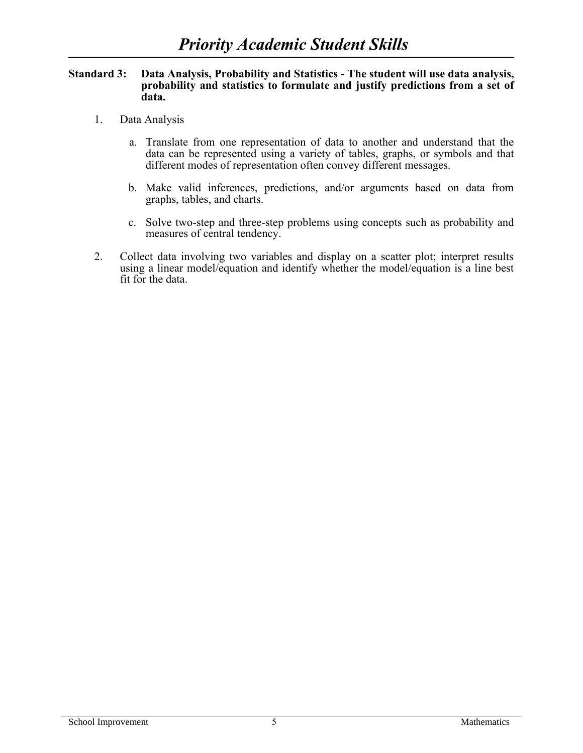#### **Standard 3: Data Analysis, Probability and Statistics - The student will use data analysis, probability and statistics to formulate and justify predictions from a set of data.**

- 1. Data Analysis
	- a. Translate from one representation of data to another and understand that the data can be represented using a variety of tables, graphs, or symbols and that different modes of representation often convey different messages.
	- b. Make valid inferences, predictions, and/or arguments based on data from graphs, tables, and charts.
	- c. Solve two-step and three-step problems using concepts such as probability and measures of central tendency.
- 2. Collect data involving two variables and display on a scatter plot; interpret results using a linear model/equation and identify whether the model/equation is a line best fit for the data.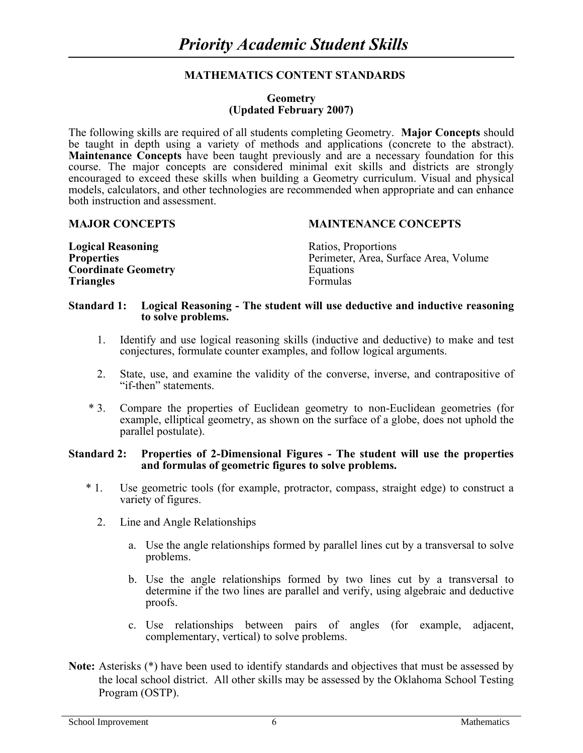# **MATHEMATICS CONTENT STANDARDS**

#### **Geometry (Updated February 2007)**

The following skills are required of all students completing Geometry. **Major Concepts** should be taught in depth using a variety of methods and applications (concrete to the abstract). **Maintenance Concepts** have been taught previously and are a necessary foundation for this course. The major concepts are considered minimal exit skills and districts are strongly encouraged to exceed these skills when building a Geometry curriculum. Visual and physical models, calculators, and other technologies are recommended when appropriate and can enhance both instruction and assessment.

#### **MAJOR CONCEPTS MAINTENANCE CONCEPTS**

| <b>Logical Reasoning</b>   | Ratios, Proportions                   |
|----------------------------|---------------------------------------|
| <b>Properties</b>          | Perimeter, Area, Surface Area, Volume |
| <b>Coordinate Geometry</b> | Equations                             |
| <b>Triangles</b>           | Formulas                              |

### **Standard 1: Logical Reasoning - The student will use deductive and inductive reasoning to solve problems.**

- 1. Identify and use logical reasoning skills (inductive and deductive) to make and test conjectures, formulate counter examples, and follow logical arguments.
- 2. State, use, and examine the validity of the converse, inverse, and contrapositive of "if-then" statements.
- \* 3. Compare the properties of Euclidean geometry to non-Euclidean geometries (for example, elliptical geometry, as shown on the surface of a globe, does not uphold the parallel postulate).

#### **Standard 2: Properties of 2-Dimensional Figures - The student will use the properties and formulas of geometric figures to solve problems.**

- \* 1. Use geometric tools (for example, protractor, compass, straight edge) to construct a variety of figures.
	- 2. Line and Angle Relationships
		- a. Use the angle relationships formed by parallel lines cut by a transversal to solve problems.
		- b. Use the angle relationships formed by two lines cut by a transversal to determine if the two lines are parallel and verify, using algebraic and deductive proofs.
		- c. Use relationships between pairs of angles (for example, adjacent, complementary, vertical) to solve problems.
- **Note:** Asterisks (\*) have been used to identify standards and objectives that must be assessed by the local school district. All other skills may be assessed by the Oklahoma School Testing Program (OSTP).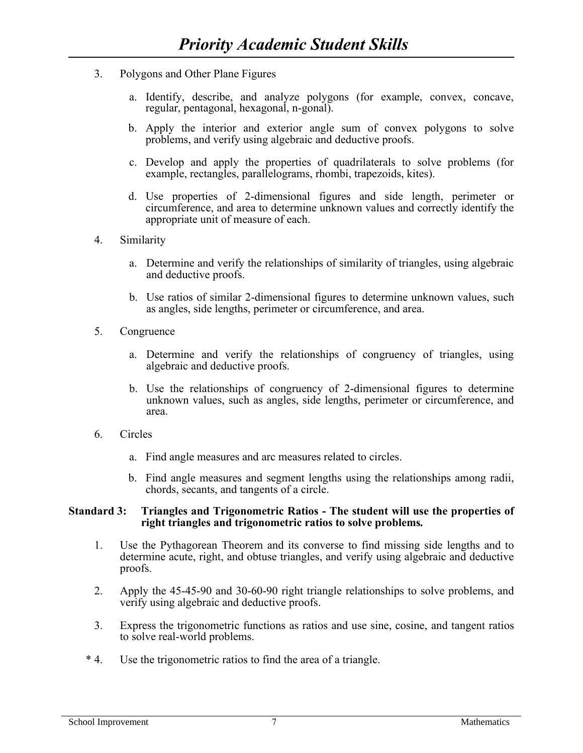- 3. Polygons and Other Plane Figures
	- a. Identify, describe, and analyze polygons (for example, convex, concave, regular, pentagonal, hexagonal, n-gonal).
	- b. Apply the interior and exterior angle sum of convex polygons to solve problems, and verify using algebraic and deductive proofs.
	- c. Develop and apply the properties of quadrilaterals to solve problems (for example, rectangles, parallelograms, rhombi, trapezoids, kites).
	- d. Use properties of 2-dimensional figures and side length, perimeter or circumference, and area to determine unknown values and correctly identify the appropriate unit of measure of each.
- 4. Similarity
	- a. Determine and verify the relationships of similarity of triangles, using algebraic and deductive proofs.
	- b. Use ratios of similar 2-dimensional figures to determine unknown values, such as angles, side lengths, perimeter or circumference, and area.
- 5. Congruence
	- a. Determine and verify the relationships of congruency of triangles, using algebraic and deductive proofs.
	- b. Use the relationships of congruency of 2-dimensional figures to determine unknown values, such as angles, side lengths, perimeter or circumference, and area.
- 6. Circles
	- a. Find angle measures and arc measures related to circles.
	- b. Find angle measures and segment lengths using the relationships among radii, chords, secants, and tangents of a circle.

### **Standard 3: Triangles and Trigonometric Ratios - The student will use the properties of right triangles and trigonometric ratios to solve problems***.*

- 1. Use the Pythagorean Theorem and its converse to find missing side lengths and to determine acute, right, and obtuse triangles, and verify using algebraic and deductive proofs.
- 2. Apply the 45-45-90 and 30-60-90 right triangle relationships to solve problems, and verify using algebraic and deductive proofs.
- 3. Express the trigonometric functions as ratios and use sine, cosine, and tangent ratios to solve real-world problems.
- \* 4. Use the trigonometric ratios to find the area of a triangle.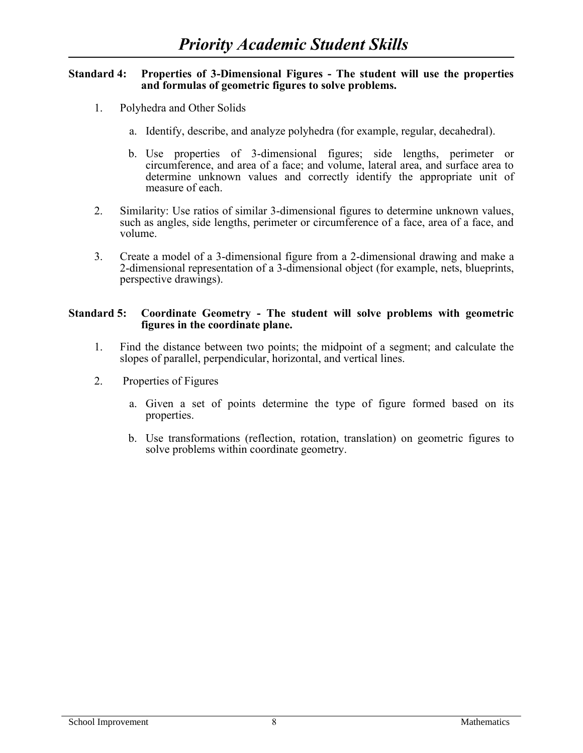#### **Standard 4: Properties of 3-Dimensional Figures - The student will use the properties and formulas of geometric figures to solve problems.**

- 1. Polyhedra and Other Solids
	- a. Identify, describe, and analyze polyhedra (for example, regular, decahedral).
	- b. Use properties of 3-dimensional figures; side lengths, perimeter or circumference, and area of a face; and volume, lateral area, and surface area to determine unknown values and correctly identify the appropriate unit of measure of each.
- 2. Similarity: Use ratios of similar 3-dimensional figures to determine unknown values, such as angles, side lengths, perimeter or circumference of a face, area of a face, and volume.
- 3. Create a model of a 3-dimensional figure from a 2-dimensional drawing and make a 2-dimensional representation of a 3-dimensional object (for example, nets, blueprints, perspective drawings).

### **Standard 5: Coordinate Geometry - The student will solve problems with geometric figures in the coordinate plane.**

- 1. Find the distance between two points; the midpoint of a segment; and calculate the slopes of parallel, perpendicular, horizontal, and vertical lines.
- 2. Properties of Figures
	- a. Given a set of points determine the type of figure formed based on its properties.
	- b. Use transformations (reflection, rotation, translation) on geometric figures to solve problems within coordinate geometry.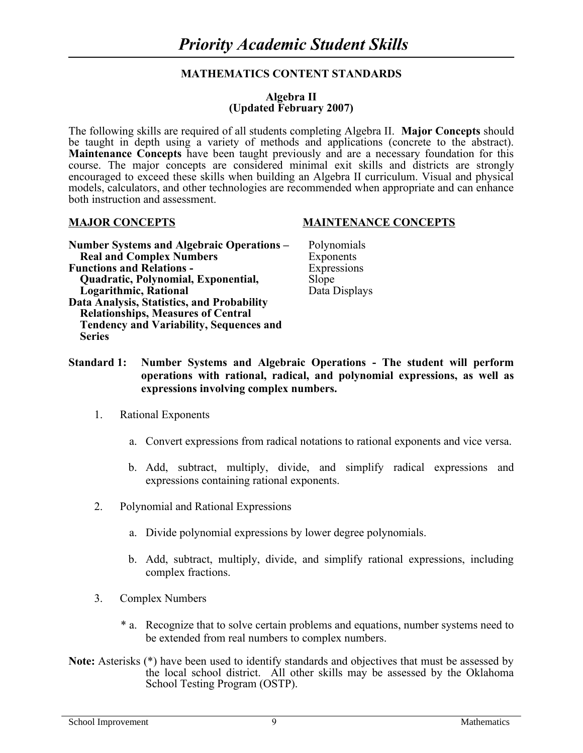# **MATHEMATICS CONTENT STANDARDS**

### **Algebra II (Updated February 2007)**

The following skills are required of all students completing Algebra II. **Major Concepts** should be taught in depth using a variety of methods and applications (concrete to the abstract). **Maintenance Concepts** have been taught previously and are a necessary foundation for this course. The major concepts are considered minimal exit skills and districts are strongly encouraged to exceed these skills when building an Algebra II curriculum. Visual and physical models, calculators, and other technologies are recommended when appropriate and can enhance both instruction and assessment.

#### **Number Systems and Algebraic Operations –** Polynomials **Real and Complex Numbers** Exponents **Functions and Relations -** Expressions  **Quadratic, Polynomial, Exponential,** Slope **Logarithmic, Rational Data Displays Data Analysis, Statistics, and Probability Relationships, Measures of Central Tendency and Variability, Sequences and Series**

#### **MAJOR CONCEPTS MAINTENANCE CONCEPTS**

- 
- **Standard 1: Number Systems and Algebraic Operations - The student will perform operations with rational, radical, and polynomial expressions, as well as expressions involving complex numbers.**
	- 1. Rational Exponents
		- a. Convert expressions from radical notations to rational exponents and vice versa.
		- b. Add, subtract, multiply, divide, and simplify radical expressions and expressions containing rational exponents.
	- 2. Polynomial and Rational Expressions
		- a. Divide polynomial expressions by lower degree polynomials.
		- b. Add, subtract, multiply, divide, and simplify rational expressions, including complex fractions.
	- 3. Complex Numbers
		- \* a. Recognize that to solve certain problems and equations, number systems need to be extended from real numbers to complex numbers.
- **Note:** Asterisks (\*) have been used to identify standards and objectives that must be assessed by the local school district. All other skills may be assessed by the Oklahoma School Testing Program (OSTP).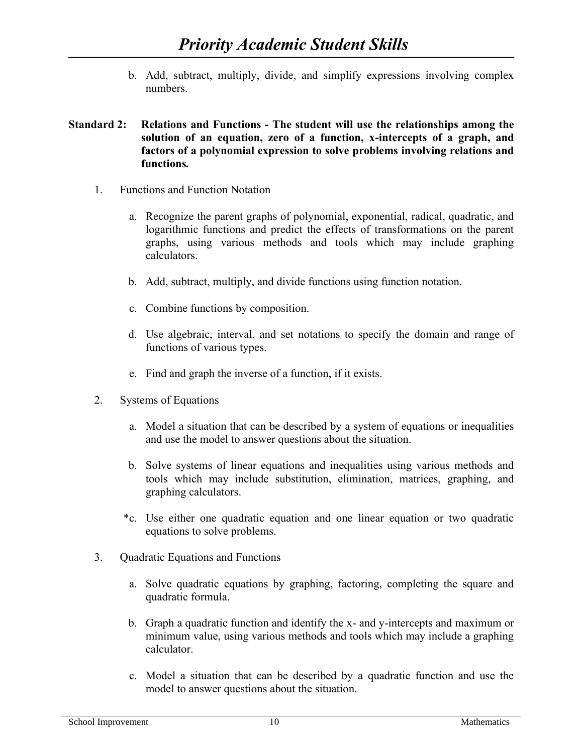b. Add, subtract, multiply, divide, and simplify expressions involving complex numbers.

# **Standard 2: Relations and Functions - The student will use the relationships among the solution of an equation, zero of a function, x-intercepts of a graph, and factors of a polynomial expression to solve problems involving relations and functions***.*

- 1. Functions and Function Notation
	- a. Recognize the parent graphs of polynomial, exponential, radical, quadratic, and logarithmic functions and predict the effects of transformations on the parent graphs, using various methods and tools which may include graphing calculators.
	- b. Add, subtract, multiply, and divide functions using function notation.
	- c. Combine functions by composition.
	- d. Use algebraic, interval, and set notations to specify the domain and range of functions of various types.
	- e. Find and graph the inverse of a function, if it exists.
- 2. Systems of Equations
	- a. Model a situation that can be described by a system of equations or inequalities and use the model to answer questions about the situation.
	- b. Solve systems of linear equations and inequalities using various methods and tools which may include substitution, elimination, matrices, graphing, and graphing calculators.
	- \*c. Use either one quadratic equation and one linear equation or two quadratic equations to solve problems.
- 3. Quadratic Equations and Functions
	- a. Solve quadratic equations by graphing, factoring, completing the square and quadratic formula.
	- b. Graph a quadratic function and identify the x- and y-intercepts and maximum or minimum value, using various methods and tools which may include a graphing calculator.
	- c. Model a situation that can be described by a quadratic function and use the model to answer questions about the situation.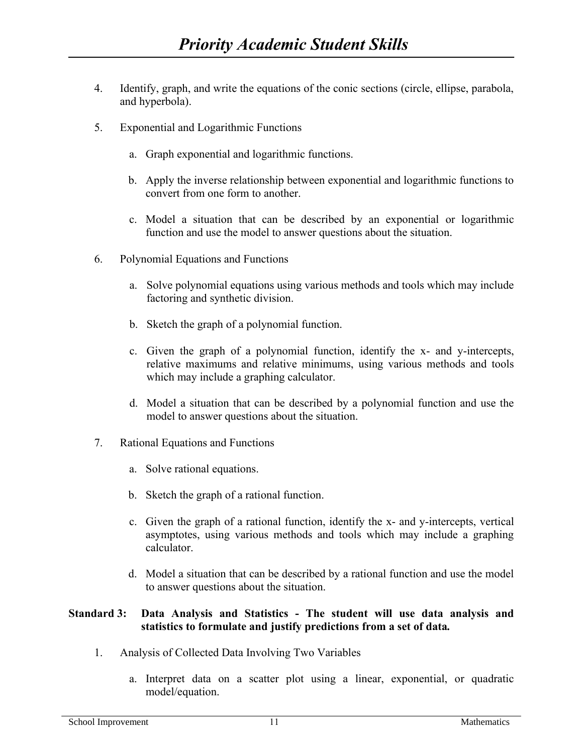- 4. Identify, graph, and write the equations of the conic sections (circle, ellipse, parabola, and hyperbola).
- 5. Exponential and Logarithmic Functions
	- a. Graph exponential and logarithmic functions.
	- b. Apply the inverse relationship between exponential and logarithmic functions to convert from one form to another.
	- c. Model a situation that can be described by an exponential or logarithmic function and use the model to answer questions about the situation.
- 6. Polynomial Equations and Functions
	- a. Solve polynomial equations using various methods and tools which may include factoring and synthetic division.
	- b. Sketch the graph of a polynomial function.
	- c. Given the graph of a polynomial function, identify the x- and y-intercepts, relative maximums and relative minimums, using various methods and tools which may include a graphing calculator.
	- d. Model a situation that can be described by a polynomial function and use the model to answer questions about the situation.
- 7. Rational Equations and Functions
	- a. Solve rational equations.
	- b. Sketch the graph of a rational function.
	- c. Given the graph of a rational function, identify the x- and y-intercepts, vertical asymptotes, using various methods and tools which may include a graphing calculator.
	- d. Model a situation that can be described by a rational function and use the model to answer questions about the situation.

# **Standard 3: Data Analysis and Statistics - The student will use data analysis and statistics to formulate and justify predictions from a set of data***.*

- 1. Analysis of Collected Data Involving Two Variables
	- a. Interpret data on a scatter plot using a linear, exponential, or quadratic model/equation.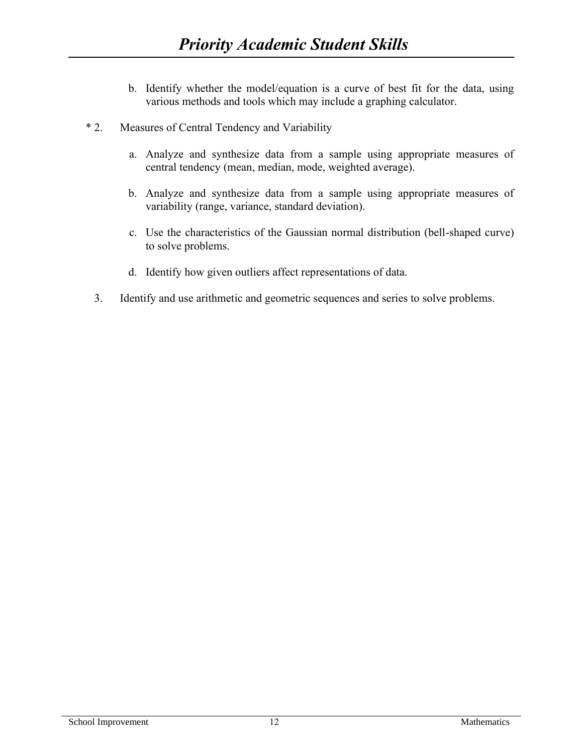- b. Identify whether the model/equation is a curve of best fit for the data, using various methods and tools which may include a graphing calculator.
- \* 2. Measures of Central Tendency and Variability
	- a. Analyze and synthesize data from a sample using appropriate measures of central tendency (mean, median, mode, weighted average).
	- b. Analyze and synthesize data from a sample using appropriate measures of variability (range, variance, standard deviation).
	- c. Use the characteristics of the Gaussian normal distribution (bell-shaped curve) to solve problems.
	- d. Identify how given outliers affect representations of data.
	- 3. Identify and use arithmetic and geometric sequences and series to solve problems.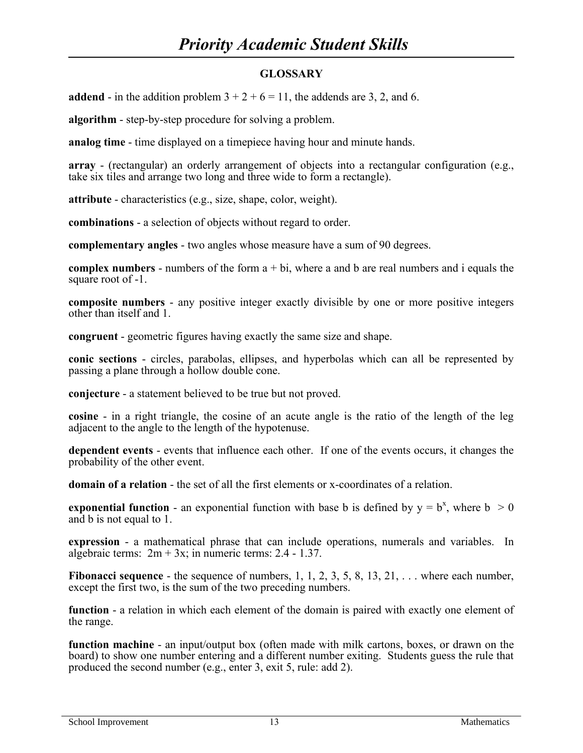# **GLOSSARY**

**addend** - in the addition problem  $3 + 2 + 6 = 11$ , the addends are 3, 2, and 6.

**algorithm** - step-by-step procedure for solving a problem.

**analog time** - time displayed on a timepiece having hour and minute hands.

**array** - (rectangular) an orderly arrangement of objects into a rectangular configuration (e.g., take six tiles and arrange two long and three wide to form a rectangle).

**attribute** - characteristics (e.g., size, shape, color, weight).

**combinations** - a selection of objects without regard to order.

**complementary angles** - two angles whose measure have a sum of 90 degrees.

**complex numbers** - numbers of the form a + bi, where a and b are real numbers and i equals the square root of -1.

**composite numbers** - any positive integer exactly divisible by one or more positive integers other than itself and 1.

**congruent** - geometric figures having exactly the same size and shape.

**conic sections** - circles, parabolas, ellipses, and hyperbolas which can all be represented by passing a plane through a hollow double cone.

**conjecture** - a statement believed to be true but not proved.

**cosine** - in a right triangle, the cosine of an acute angle is the ratio of the length of the leg adjacent to the angle to the length of the hypotenuse.

**dependent events** - events that influence each other. If one of the events occurs, it changes the probability of the other event.

**domain of a relation** - the set of all the first elements or x-coordinates of a relation.

**exponential function** - an exponential function with base b is defined by  $y = b^x$ , where  $b > 0$ and b is not equal to 1.

**expression** - a mathematical phrase that can include operations, numerals and variables. In algebraic terms:  $2m + 3x$ ; in numeric terms: 2.4 - 1.37.

**Fibonacci sequence** - the sequence of numbers, 1, 1, 2, 3, 5, 8, 13, 21, ... where each number, except the first two, is the sum of the two preceding numbers.

**function** - a relation in which each element of the domain is paired with exactly one element of the range.

**function machine** - an input/output box (often made with milk cartons, boxes, or drawn on the board) to show one number entering and a different number exiting. Students guess the rule that produced the second number (e.g., enter 3, exit 5, rule: add 2).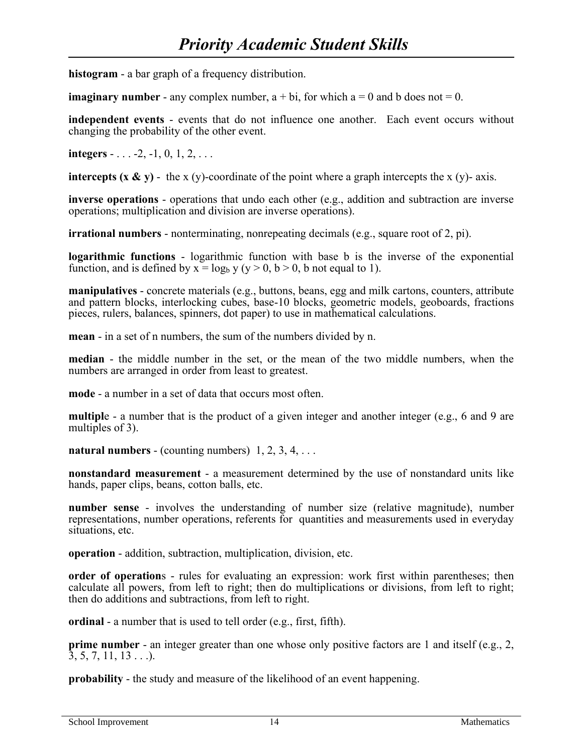**histogram** - a bar graph of a frequency distribution.

**imaginary number** - any complex number,  $a + bi$ , for which  $a = 0$  and b does not  $= 0$ .

**independent events** - events that do not influence one another. Each event occurs without changing the probability of the other event.

**integers** - . . . -2, -1, 0, 1, 2, . . .

**intercepts (x & y)** - the x (y)-coordinate of the point where a graph intercepts the x (y)- axis.

**inverse operations** - operations that undo each other (e.g., addition and subtraction are inverse operations; multiplication and division are inverse operations).

**irrational numbers** - nonterminating, nonrepeating decimals (e.g., square root of 2, pi).

**logarithmic functions** - logarithmic function with base b is the inverse of the exponential function, and is defined by  $x = log_b y (y > 0, b > 0, b$  not equal to 1).

**manipulatives** - concrete materials (e.g., buttons, beans, egg and milk cartons, counters, attribute and pattern blocks, interlocking cubes, base-10 blocks, geometric models, geoboards, fractions pieces, rulers, balances, spinners, dot paper) to use in mathematical calculations.

**mean** - in a set of n numbers, the sum of the numbers divided by n.

**median** - the middle number in the set, or the mean of the two middle numbers, when the numbers are arranged in order from least to greatest.

**mode** - a number in a set of data that occurs most often.

**multipl**e - a number that is the product of a given integer and another integer (e.g., 6 and 9 are multiples of 3).

**natural numbers** - (counting numbers)  $1, 2, 3, 4, \ldots$ 

**nonstandard measurement** - a measurement determined by the use of nonstandard units like hands, paper clips, beans, cotton balls, etc.

**number sense** - involves the understanding of number size (relative magnitude), number representations, number operations, referents for quantities and measurements used in everyday situations, etc.

**operation** - addition, subtraction, multiplication, division, etc.

**order of operations** - rules for evaluating an expression: work first within parentheses; then calculate all powers, from left to right; then do multiplications or divisions, from left to right; then do additions and subtractions, from left to right.

**ordinal** - a number that is used to tell order (e.g., first, fifth).

**prime number** - an integer greater than one whose only positive factors are 1 and itself (e.g., 2,  $\overline{3}, 5, 7, 11, 13 \ldots$ .

**probability** - the study and measure of the likelihood of an event happening.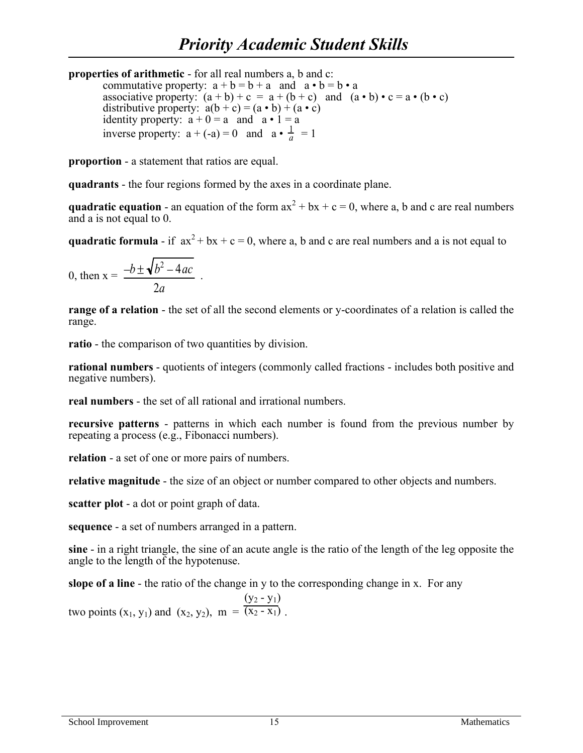**properties of arithmetic** - for all real numbers a, b and c: commutative property:  $a + b = b + a$  and  $a \cdot b = b \cdot a$ associative property:  $(a + b) + c = a + (b + c)$  and  $(a \cdot b) \cdot c = a \cdot (b \cdot c)$ distributive property:  $a(b + c) = (a \cdot b) + (a \cdot c)$ identity property:  $a + 0 = a$  and  $a \cdot 1 = a$ inverse property:  $a + (-a) = 0$  and  $a \cdot \frac{1}{a}$  $\frac{1}{a}$  = 1

**proportion** - a statement that ratios are equal.

**quadrants** - the four regions formed by the axes in a coordinate plane.

**quadratic equation** - an equation of the form  $ax^2 + bx + c = 0$ , where a, b and c are real numbers and a is not equal to 0.

**quadratic formula** - if  $ax^2 + bx + c = 0$ , where a, b and c are real numbers and a is not equal to

$$
0, \text{ then } x = \frac{-b \pm \sqrt{b^2 - 4ac}}{2a}.
$$

**range of a relation** - the set of all the second elements or y-coordinates of a relation is called the range.

**ratio** - the comparison of two quantities by division.

**rational numbers** - quotients of integers (commonly called fractions - includes both positive and negative numbers).

**real numbers** - the set of all rational and irrational numbers.

**recursive patterns** - patterns in which each number is found from the previous number by repeating a process (e.g., Fibonacci numbers).

**relation** - a set of one or more pairs of numbers.

**relative magnitude** - the size of an object or number compared to other objects and numbers.

**scatter plot** - a dot or point graph of data.

**sequence** - a set of numbers arranged in a pattern.

**sine** - in a right triangle, the sine of an acute angle is the ratio of the length of the leg opposite the angle to the length of the hypotenuse.

**slope of a line** - the ratio of the change in y to the corresponding change in x. For any

two points  $(x_1, y_1)$  and  $(x_2, y_2)$ ,  $m = \overline{(x_2 - x_1)}$ .  $(y_2 - y_1)$  $= \overline{(x_2 - x_1)}$